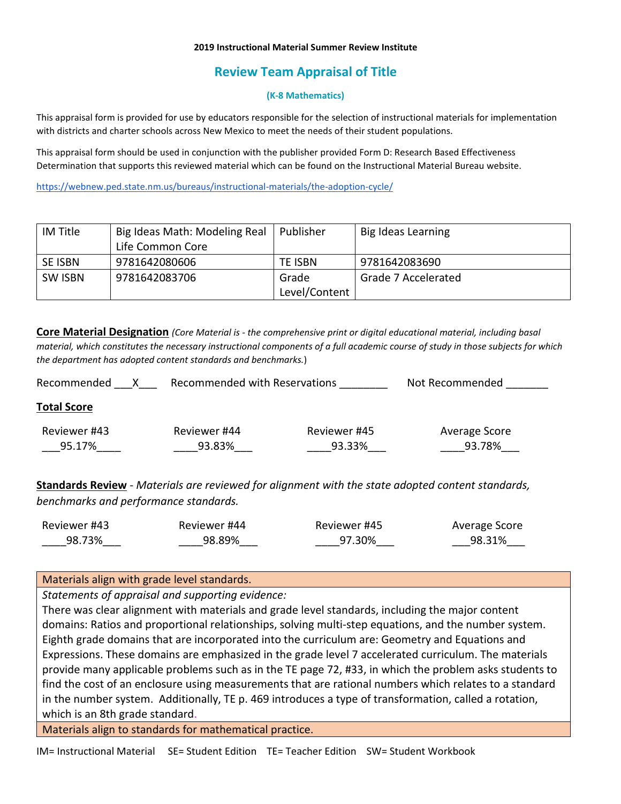#### **2019 Instructional Material Summer Review Institute**

# **Review Team Appraisal of Title**

### **(K-8 Mathematics)**

This appraisal form is provided for use by educators responsible for the selection of instructional materials for implementation with districts and charter schools across New Mexico to meet the needs of their student populations.

This appraisal form should be used in conjunction with the publisher provided Form D: Research Based Effectiveness Determination that supports this reviewed material which can be found on the Instructional Material Bureau website.

<https://webnew.ped.state.nm.us/bureaus/instructional-materials/the-adoption-cycle/>

| IM Title | Big Ideas Math: Modeling Real | l Publisher    | Big Ideas Learning  |
|----------|-------------------------------|----------------|---------------------|
|          | Life Common Core              |                |                     |
| SE ISBN  | 9781642080606                 | <b>TE ISBN</b> | 9781642083690       |
| SW ISBN  | 9781642083706                 | Grade          | Grade 7 Accelerated |
|          |                               | Level/Content  |                     |

**Core Material Designation** *(Core Material is - the comprehensive print or digital educational material, including basal material, which constitutes the necessary instructional components of a full academic course of study in those subjects for which the department has adopted content standards and benchmarks.*)

| Recommended        | Recommended with Reservations |              | Not Recommended |  |
|--------------------|-------------------------------|--------------|-----------------|--|
| <b>Total Score</b> |                               |              |                 |  |
| Reviewer #43       | Reviewer #44                  | Reviewer #45 | Average Score   |  |
| 95.17%             | 93.83%                        | 93.33%       | 93.78%          |  |

**Standards Review** - *Materials are reviewed for alignment with the state adopted content standards, benchmarks and performance standards.*

| Reviewer #43 | Reviewer #44 | Reviewer #45 | Average Score |
|--------------|--------------|--------------|---------------|
| 98.73%       | 98.89%       | 97.30%       | 98.31%        |

## Materials align with grade level standards.

*Statements of appraisal and supporting evidence:*

There was clear alignment with materials and grade level standards, including the major content domains: Ratios and proportional relationships, solving multi-step equations, and the number system. Eighth grade domains that are incorporated into the curriculum are: Geometry and Equations and Expressions. These domains are emphasized in the grade level 7 accelerated curriculum. The materials provide many applicable problems such as in the TE page 72, #33, in which the problem asks students to find the cost of an enclosure using measurements that are rational numbers which relates to a standard in the number system. Additionally, TE p. 469 introduces a type of transformation, called a rotation, which is an 8th grade standard.

Materials align to standards for mathematical practice.

IM= Instructional Material SE= Student Edition TE= Teacher Edition SW= Student Workbook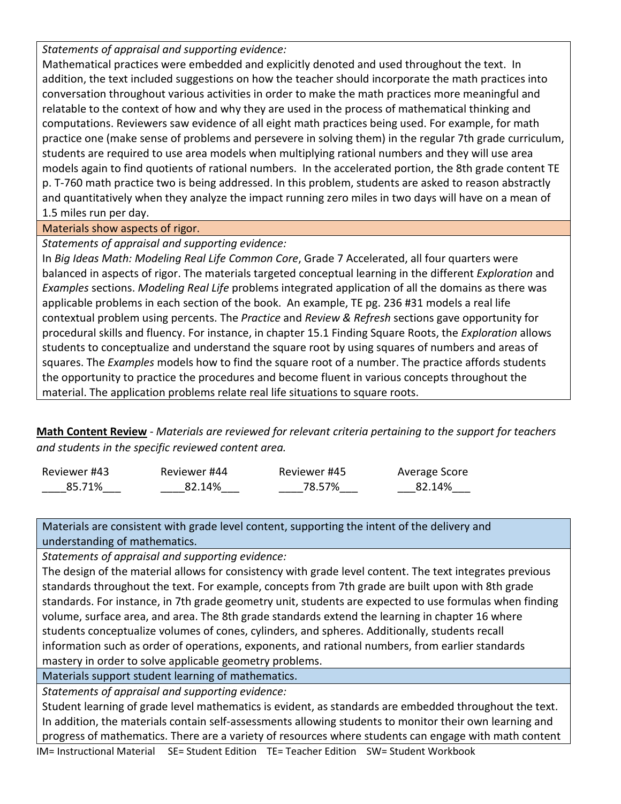*Statements of appraisal and supporting evidence:*

Mathematical practices were embedded and explicitly denoted and used throughout the text. In addition, the text included suggestions on how the teacher should incorporate the math practices into conversation throughout various activities in order to make the math practices more meaningful and relatable to the context of how and why they are used in the process of mathematical thinking and computations. Reviewers saw evidence of all eight math practices being used. For example, for math practice one (make sense of problems and persevere in solving them) in the regular 7th grade curriculum, students are required to use area models when multiplying rational numbers and they will use area models again to find quotients of rational numbers. In the accelerated portion, the 8th grade content TE p. T-760 math practice two is being addressed. In this problem, students are asked to reason abstractly and quantitatively when they analyze the impact running zero miles in two days will have on a mean of 1.5 miles run per day.

# Materials show aspects of rigor.

*Statements of appraisal and supporting evidence:*

In *Big Ideas Math: Modeling Real Life Common Core*, Grade 7 Accelerated, all four quarters were balanced in aspects of rigor. The materials targeted conceptual learning in the different *Exploration* and *Examples* sections. *Modeling Real Life* problems integrated application of all the domains as there was applicable problems in each section of the book. An example, TE pg. 236 #31 models a real life contextual problem using percents. The *Practice* and *Review & Refresh* sections gave opportunity for procedural skills and fluency. For instance, in chapter 15.1 Finding Square Roots, the *Exploration* allows students to conceptualize and understand the square root by using squares of numbers and areas of squares. The *Examples* models how to find the square root of a number. The practice affords students the opportunity to practice the procedures and become fluent in various concepts throughout the material. The application problems relate real life situations to square roots.

**Math Content Review** - *Materials are reviewed for relevant criteria pertaining to the support for teachers and students in the specific reviewed content area.*

| Reviewer #43 | Reviewer #44 | Reviewer #45 | Average Score |
|--------------|--------------|--------------|---------------|
| 85.71%       | 82.14%       | 78.57%       | 82.14%        |

Materials are consistent with grade level content, supporting the intent of the delivery and understanding of mathematics.

*Statements of appraisal and supporting evidence:*

The design of the material allows for consistency with grade level content. The text integrates previous standards throughout the text. For example, concepts from 7th grade are built upon with 8th grade standards. For instance, in 7th grade geometry unit, students are expected to use formulas when finding volume, surface area, and area. The 8th grade standards extend the learning in chapter 16 where students conceptualize volumes of cones, cylinders, and spheres. Additionally, students recall information such as order of operations, exponents, and rational numbers, from earlier standards mastery in order to solve applicable geometry problems.

Materials support student learning of mathematics.

*Statements of appraisal and supporting evidence:*

Student learning of grade level mathematics is evident, as standards are embedded throughout the text. In addition, the materials contain self-assessments allowing students to monitor their own learning and progress of mathematics. There are a variety of resources where students can engage with math content

IM= Instructional Material SE= Student Edition TE= Teacher Edition SW= Student Workbook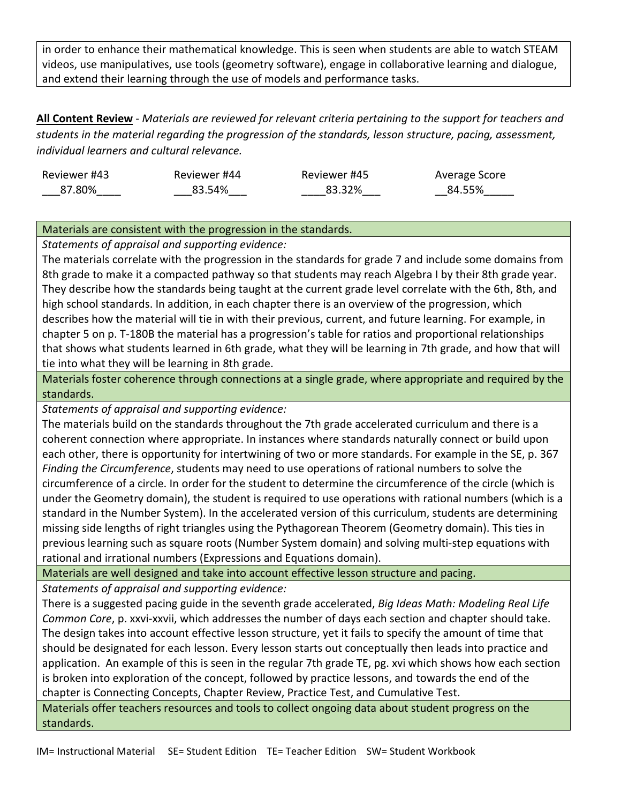in order to enhance their mathematical knowledge. This is seen when students are able to watch STEAM videos, use manipulatives, use tools (geometry software), engage in collaborative learning and dialogue, and extend their learning through the use of models and performance tasks.

**All Content Review** - *Materials are reviewed for relevant criteria pertaining to the support for teachers and students in the material regarding the progression of the standards, lesson structure, pacing, assessment, individual learners and cultural relevance.*

| Reviewer #43 | Reviewer #44 | Reviewer #45 | Average Score |
|--------------|--------------|--------------|---------------|
| 87.80%       | 83.54%       | 83.32%       | 84.55%        |

## Materials are consistent with the progression in the standards.

*Statements of appraisal and supporting evidence:*

The materials correlate with the progression in the standards for grade 7 and include some domains from 8th grade to make it a compacted pathway so that students may reach Algebra I by their 8th grade year. They describe how the standards being taught at the current grade level correlate with the 6th, 8th, and high school standards. In addition, in each chapter there is an overview of the progression, which describes how the material will tie in with their previous, current, and future learning. For example, in chapter 5 on p. T-180B the material has a progression's table for ratios and proportional relationships that shows what students learned in 6th grade, what they will be learning in 7th grade, and how that will tie into what they will be learning in 8th grade.

Materials foster coherence through connections at a single grade, where appropriate and required by the standards.

*Statements of appraisal and supporting evidence:*

The materials build on the standards throughout the 7th grade accelerated curriculum and there is a coherent connection where appropriate. In instances where standards naturally connect or build upon each other, there is opportunity for intertwining of two or more standards. For example in the SE, p. 367 *Finding the Circumference*, students may need to use operations of rational numbers to solve the circumference of a circle. In order for the student to determine the circumference of the circle (which is under the Geometry domain), the student is required to use operations with rational numbers (which is a standard in the Number System). In the accelerated version of this curriculum, students are determining missing side lengths of right triangles using the Pythagorean Theorem (Geometry domain). This ties in previous learning such as square roots (Number System domain) and solving multi-step equations with rational and irrational numbers (Expressions and Equations domain).

Materials are well designed and take into account effective lesson structure and pacing.

*Statements of appraisal and supporting evidence:*

There is a suggested pacing guide in the seventh grade accelerated, *Big Ideas Math: Modeling Real Life Common Core*, p. xxvi-xxvii, which addresses the number of days each section and chapter should take. The design takes into account effective lesson structure, yet it fails to specify the amount of time that should be designated for each lesson. Every lesson starts out conceptually then leads into practice and application. An example of this is seen in the regular 7th grade TE, pg. xvi which shows how each section is broken into exploration of the concept, followed by practice lessons, and towards the end of the chapter is Connecting Concepts, Chapter Review, Practice Test, and Cumulative Test.

Materials offer teachers resources and tools to collect ongoing data about student progress on the standards.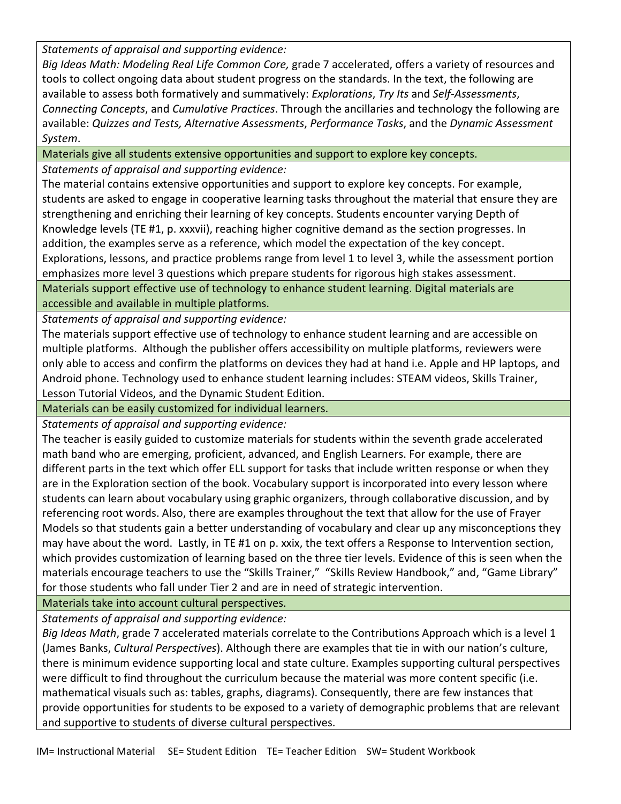*Statements of appraisal and supporting evidence:*

*Big Ideas Math: Modeling Real Life Common Core,* grade 7 accelerated, offers a variety of resources and tools to collect ongoing data about student progress on the standards. In the text, the following are available to assess both formatively and summatively: *Explorations*, *Try Its* and *Self-Assessments*, *Connecting Concepts*, and *Cumulative Practices*. Through the ancillaries and technology the following are available: *Quizzes and Tests, Alternative Assessments*, *Performance Tasks*, and the *Dynamic Assessment System*.

Materials give all students extensive opportunities and support to explore key concepts.

*Statements of appraisal and supporting evidence:*

The material contains extensive opportunities and support to explore key concepts. For example, students are asked to engage in cooperative learning tasks throughout the material that ensure they are strengthening and enriching their learning of key concepts. Students encounter varying Depth of Knowledge levels (TE #1, p. xxxvii), reaching higher cognitive demand as the section progresses. In addition, the examples serve as a reference, which model the expectation of the key concept. Explorations, lessons, and practice problems range from level 1 to level 3, while the assessment portion emphasizes more level 3 questions which prepare students for rigorous high stakes assessment.

Materials support effective use of technology to enhance student learning. Digital materials are accessible and available in multiple platforms.

*Statements of appraisal and supporting evidence:*

The materials support effective use of technology to enhance student learning and are accessible on multiple platforms. Although the publisher offers accessibility on multiple platforms, reviewers were only able to access and confirm the platforms on devices they had at hand i.e. Apple and HP laptops, and Android phone. Technology used to enhance student learning includes: STEAM videos, Skills Trainer, Lesson Tutorial Videos, and the Dynamic Student Edition.

Materials can be easily customized for individual learners.

*Statements of appraisal and supporting evidence:*

The teacher is easily guided to customize materials for students within the seventh grade accelerated math band who are emerging, proficient, advanced, and English Learners. For example, there are different parts in the text which offer ELL support for tasks that include written response or when they are in the Exploration section of the book. Vocabulary support is incorporated into every lesson where students can learn about vocabulary using graphic organizers, through collaborative discussion, and by referencing root words. Also, there are examples throughout the text that allow for the use of Frayer Models so that students gain a better understanding of vocabulary and clear up any misconceptions they may have about the word. Lastly, in TE #1 on p. xxix, the text offers a Response to Intervention section, which provides customization of learning based on the three tier levels. Evidence of this is seen when the materials encourage teachers to use the "Skills Trainer," "Skills Review Handbook," and, "Game Library" for those students who fall under Tier 2 and are in need of strategic intervention.

Materials take into account cultural perspectives.

*Statements of appraisal and supporting evidence:*

*Big Ideas Math*, grade 7 accelerated materials correlate to the Contributions Approach which is a level 1 (James Banks, *Cultural Perspectives*). Although there are examples that tie in with our nation's culture, there is minimum evidence supporting local and state culture. Examples supporting cultural perspectives were difficult to find throughout the curriculum because the material was more content specific (i.e. mathematical visuals such as: tables, graphs, diagrams). Consequently, there are few instances that provide opportunities for students to be exposed to a variety of demographic problems that are relevant and supportive to students of diverse cultural perspectives.